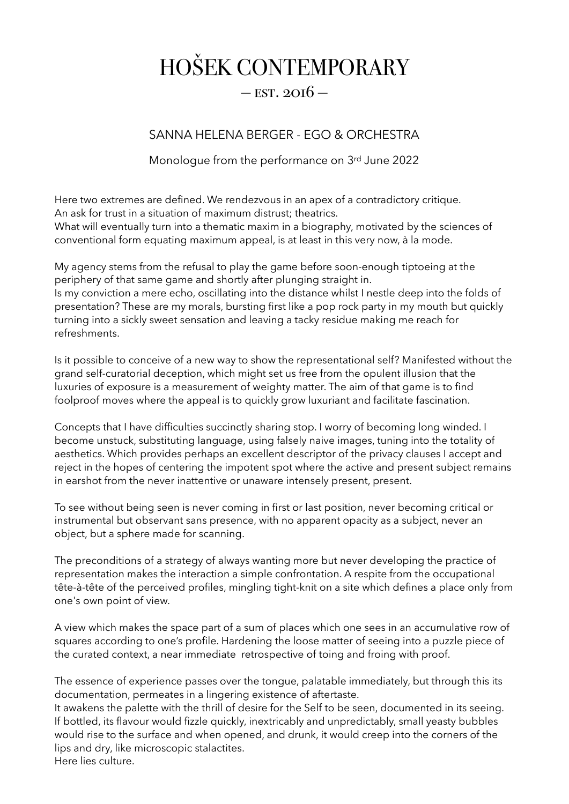## HOŠEK CONTEMPORARY

## $-$  EST. 2016  $-$

## SANNA HELENA BERGER - EGO & ORCHESTRA

## Monologue from the performance on 3rd June 2022

Here two extremes are defined. We rendezvous in an apex of a contradictory critique. An ask for trust in a situation of maximum distrust; theatrics.

What will eventually turn into a thematic maxim in a biography, motivated by the sciences of conventional form equating maximum appeal, is at least in this very now, à la mode.

My agency stems from the refusal to play the game before soon-enough tiptoeing at the periphery of that same game and shortly after plunging straight in. Is my conviction a mere echo, oscillating into the distance whilst I nestle deep into the folds of presentation? These are my morals, bursting first like a pop rock party in my mouth but quickly turning into a sickly sweet sensation and leaving a tacky residue making me reach for refreshments.

Is it possible to conceive of a new way to show the representational self? Manifested without the grand self-curatorial deception, which might set us free from the opulent illusion that the luxuries of exposure is a measurement of weighty matter. The aim of that game is to find foolproof moves where the appeal is to quickly grow luxuriant and facilitate fascination.

Concepts that I have difficulties succinctly sharing stop. I worry of becoming long winded. I become unstuck, substituting language, using falsely naive images, tuning into the totality of aesthetics. Which provides perhaps an excellent descriptor of the privacy clauses I accept and reject in the hopes of centering the impotent spot where the active and present subject remains in earshot from the never inattentive or unaware intensely present, present.

To see without being seen is never coming in first or last position, never becoming critical or instrumental but observant sans presence, with no apparent opacity as a subject, never an object, but a sphere made for scanning.

The preconditions of a strategy of always wanting more but never developing the practice of representation makes the interaction a simple confrontation. A respite from the occupational tête-à-tête of the perceived profiles, mingling tight-knit on a site which defines a place only from one's own point of view.

A view which makes the space part of a sum of places which one sees in an accumulative row of squares according to one's profile. Hardening the loose matter of seeing into a puzzle piece of the curated context, a near immediate retrospective of toing and froing with proof.

The essence of experience passes over the tongue, palatable immediately, but through this its documentation, permeates in a lingering existence of aftertaste.

It awakens the palette with the thrill of desire for the Self to be seen, documented in its seeing. If bottled, its flavour would fizzle quickly, inextricably and unpredictably, small yeasty bubbles would rise to the surface and when opened, and drunk, it would creep into the corners of the lips and dry, like microscopic stalactites. Here lies culture.